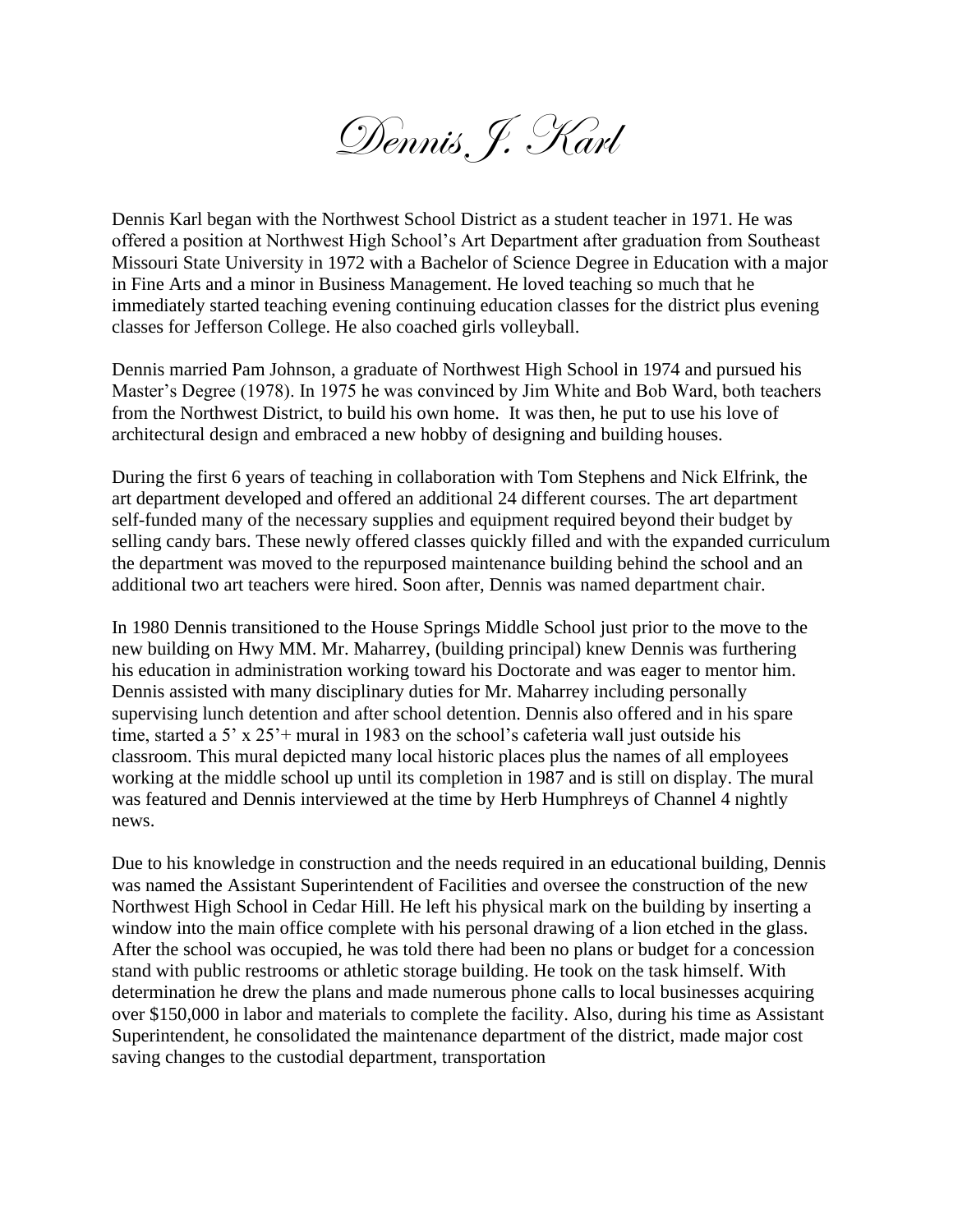Dennis J. Karl

Dennis Karl began with the Northwest School District as a student teacher in 1971. He was offered a position at Northwest High School's Art Department after graduation from Southeast Missouri State University in 1972 with a Bachelor of Science Degree in Education with a major in Fine Arts and a minor in Business Management. He loved teaching so much that he immediately started teaching evening continuing education classes for the district plus evening classes for Jefferson College. He also coached girls volleyball.

Dennis married Pam Johnson, a graduate of Northwest High School in 1974 and pursued his Master's Degree (1978). In 1975 he was convinced by Jim White and Bob Ward, both teachers from the Northwest District, to build his own home. It was then, he put to use his love of architectural design and embraced a new hobby of designing and building houses.

During the first 6 years of teaching in collaboration with Tom Stephens and Nick Elfrink, the art department developed and offered an additional 24 different courses. The art department self-funded many of the necessary supplies and equipment required beyond their budget by selling candy bars. These newly offered classes quickly filled and with the expanded curriculum the department was moved to the repurposed maintenance building behind the school and an additional two art teachers were hired. Soon after, Dennis was named department chair.

In 1980 Dennis transitioned to the House Springs Middle School just prior to the move to the new building on Hwy MM. Mr. Maharrey, (building principal) knew Dennis was furthering his education in administration working toward his Doctorate and was eager to mentor him. Dennis assisted with many disciplinary duties for Mr. Maharrey including personally supervising lunch detention and after school detention. Dennis also offered and in his spare time, started a 5' x 25'+ mural in 1983 on the school's cafeteria wall just outside his classroom. This mural depicted many local historic places plus the names of all employees working at the middle school up until its completion in 1987 and is still on display. The mural was featured and Dennis interviewed at the time by Herb Humphreys of Channel 4 nightly news.

Due to his knowledge in construction and the needs required in an educational building, Dennis was named the Assistant Superintendent of Facilities and oversee the construction of the new Northwest High School in Cedar Hill. He left his physical mark on the building by inserting a window into the main office complete with his personal drawing of a lion etched in the glass. After the school was occupied, he was told there had been no plans or budget for a concession stand with public restrooms or athletic storage building. He took on the task himself. With determination he drew the plans and made numerous phone calls to local businesses acquiring over \$150,000 in labor and materials to complete the facility. Also, during his time as Assistant Superintendent, he consolidated the maintenance department of the district, made major cost saving changes to the custodial department, transportation